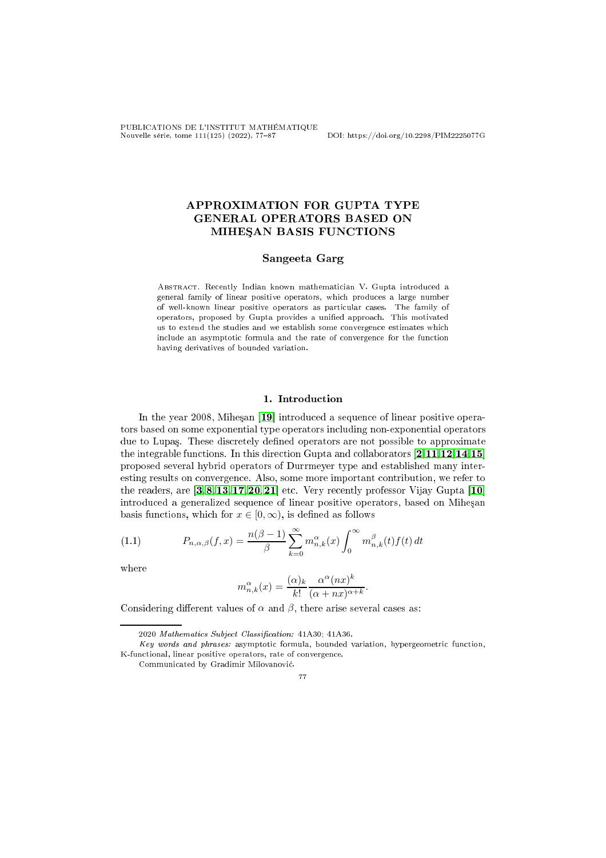PUBLICATIONS DE L'INSTITUT MATHÉMATIQUE Nouvelle série, tome 111(125) (2022), 7787 DOI: https://doi.org/10.2298/PIM2225077G

# APPROXIMATION FOR GUPTA TYPE GENERAL OPERATORS BASED ON MIHESAN BASIS FUNCTIONS

### Sangeeta Garg

Abstra
t. Re
ently Indian known mathemati
ian V. Gupta introdu
ed a general family of linear positive operators, whi
h produ
es a large number of well-known linear positive operators as particular cases. The family of operators, proposed by Gupta provides a unified approach. This motivated us to extend the studies and we establish some convergence estimates which include an asymptotic formula and the rate of convergence for the function having derivatives of bounded variation. having derivatives of bounded variation.

### 1. Introduction

In the year 2008, Miheşan [19] introduced a sequence of linear positive operators based on some exponential type operators in
luding non-exponential operators due to Lupaş. These discretely defined operators are not possible to approximate the integrable functions. In this direction Gupta and collaborators  $[2,11,12,14,15]$  $[2,11,12,14,15]$  $[2,11,12,14,15]$  $[2,11,12,14,15]$  $[2,11,12,14,15]$ proposed several hybrid operators of Durrmeyer type and established many interesting results on convergence. Also, some more important contribution, we refer to the readers, are  $\left[3, 8, 13, 17, 20, 21\right]$  $\left[3, 8, 13, 17, 20, 21\right]$  $\left[3, 8, 13, 17, 20, 21\right]$  $\left[3, 8, 13, 17, 20, 21\right]$  $\left[3, 8, 13, 17, 20, 21\right]$  $\left[3, 8, 13, 17, 20, 21\right]$  $\left[3, 8, 13, 17, 20, 21\right]$  $\left[3, 8, 13, 17, 20, 21\right]$  $\left[3, 8, 13, 17, 20, 21\right]$  $\left[3, 8, 13, 17, 20, 21\right]$  $\left[3, 8, 13, 17, 20, 21\right]$  etc. Very recently professor Vijay Gupta  $\left[10\right]$ introduced a generalized sequence of linear positive operators, based on Mihesan basis functions, which for  $x \in [0, \infty)$ , is defined as follows

<span id="page-0-0"></span>(1.1) 
$$
P_{n,\alpha,\beta}(f,x) = \frac{n(\beta-1)}{\beta} \sum_{k=0}^{\infty} m_{n,k}^{\alpha}(x) \int_0^{\infty} m_{n,k}^{\beta}(t) f(t) dt
$$

where

$$
m_{n,k}^{\alpha}(x) = \frac{(\alpha)_k}{k!} \frac{\alpha^{\alpha}(nx)^k}{(\alpha + nx)^{\alpha + k}}.
$$

Considering different values of  $\alpha$  and  $\beta$ , there arise several cases as:

<sup>2020</sup> Mathematics Subject Classification: 41A30; 41A36.

Key words and phrases: asymptotic formula, bounded variation, hypergeometric function, K-functional, linear positive operators, rate of convergence.

Communi
ated by Gradimir Milovanovi¢.

<sup>77</sup>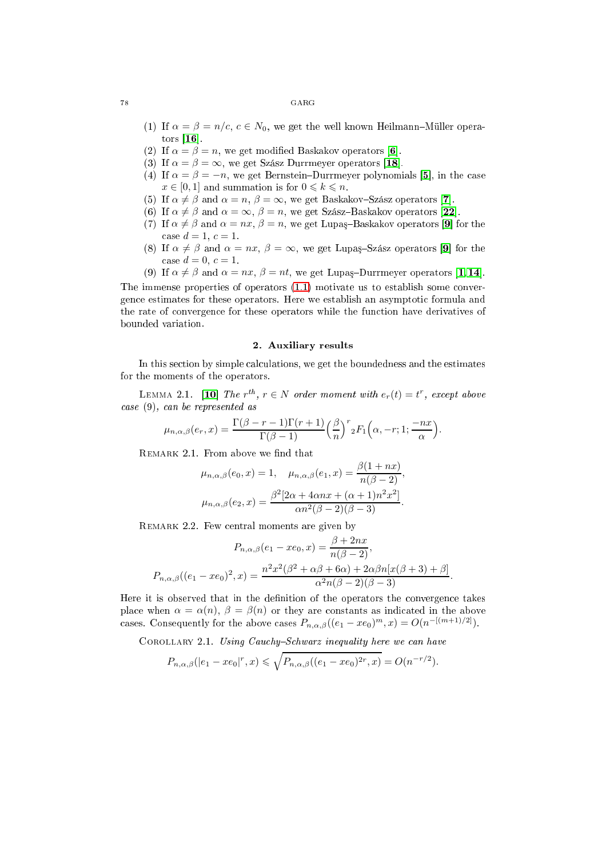#### 78 GARG

- (1) If  $\alpha = \beta = n/c$ ,  $c \in N_0$ , we get the well known Heilmann–Müller operators  $[16]$ .
- (2) If  $\alpha = \beta = n$ , we get modified Baskakov operators [6].
- (3) If  $\alpha = \beta = \infty$ , we get Szász Durrmeyer operators [18].
- (4) If  $\alpha = \beta = -n$ , we get Bernstein-Durrmeyer polynomials [5], in the case  $x \in [0, 1]$  and summation is for  $0 \leq k \leq n$ .
- (5) If  $\alpha \neq \beta$  and  $\alpha = n$ ,  $\beta = \infty$ , we get Baskakov-Szász operators [7].
- (6) If  $\alpha \neq \beta$  and  $\alpha = \infty$ ,  $\beta = n$ , we get Szász-Baskakov operators [22].
- (7) If  $\alpha \neq \beta$  and  $\alpha = nx$ ,  $\beta = n$ , we get Lupaş-Baskakov operators [9] for the case  $d = 1, c = 1$ .
- (8) If  $\alpha \neq \beta$  and  $\alpha = nx$ ,  $\beta = \infty$ , we get Lupaş-Szász operators [9] for the case  $d = 0, c = 1$ .
- (9) If  $\alpha \neq \beta$  and  $\alpha = nx$ ,  $\beta = nt$ , we get Lupaş-Durrmeyer operators [\[1,](#page-9-2) 14].

The immense properties of operators  $(1.1)$  motivate us to establish some convergen
e estimates for these operators. Here we establish an asymptoti formula and the rate of onvergen
e for these operators while the fun
tion have derivatives of bounded variation.

## 2. Auxiliary results

In this section by simple calculations, we get the boundedness and the estimates for the moments of the operators.

<span id="page-1-2"></span>LEMMA 2.1. [10] The  $r^{th}$ ,  $r \in N$  order moment with  $e_r(t) = t^r$ , except above ase (9), an be represented as

$$
\mu_{n,\alpha,\beta}(e_r,x) = \frac{\Gamma(\beta-r-1)\Gamma(r+1)}{\Gamma(\beta-1)} \left(\frac{\beta}{n}\right)^r {}_2F_1\left(\alpha,-r;1;\frac{-nx}{\alpha}\right).
$$

REMARK 2.1. From above we find that

$$
\mu_{n,\alpha,\beta}(e_0, x) = 1, \quad \mu_{n,\alpha,\beta}(e_1, x) = \frac{\beta(1 + nx)}{n(\beta - 2)}, \n\mu_{n,\alpha,\beta}(e_2, x) = \frac{\beta^2 [2\alpha + 4\alpha nx + (\alpha + 1)n^2 x^2]}{\alpha n^2(\beta - 2)(\beta - 3)}.
$$

<span id="page-1-0"></span>REMARK 2.2. Few central moments are given by

$$
P_{n,\alpha,\beta}(e_1 - xe_0, x) = \frac{\beta + 2nx}{n(\beta - 2)},
$$
  

$$
P_{n,\alpha,\beta}((e_1 - xe_0)^2, x) = \frac{n^2x^2(\beta^2 + \alpha\beta + 6\alpha) + 2\alpha\beta n[x(\beta + 3) + \beta]}{\alpha^2n(\beta - 2)(\beta - 3)}.
$$

Here it is observed that in the definition of the operators the convergence takes place when  $\alpha = \alpha(n)$ ,  $\beta = \beta(n)$  or they are constants as indicated in the above cases. Consequently for the above cases  $P_{n,\alpha,\beta}((e_1 - xe_0)^m, x) = O(n^{-[(m+1)/2]})$ .

<span id="page-1-1"></span>COROLLARY 2.1. Using Cauchy-Schwarz inequality here we can have

$$
P_{n,\alpha,\beta}(|e_1 - xe_0|^r, x) \le \sqrt{P_{n,\alpha,\beta}((e_1 - xe_0)^{2r}, x)} = O(n^{-r/2}).
$$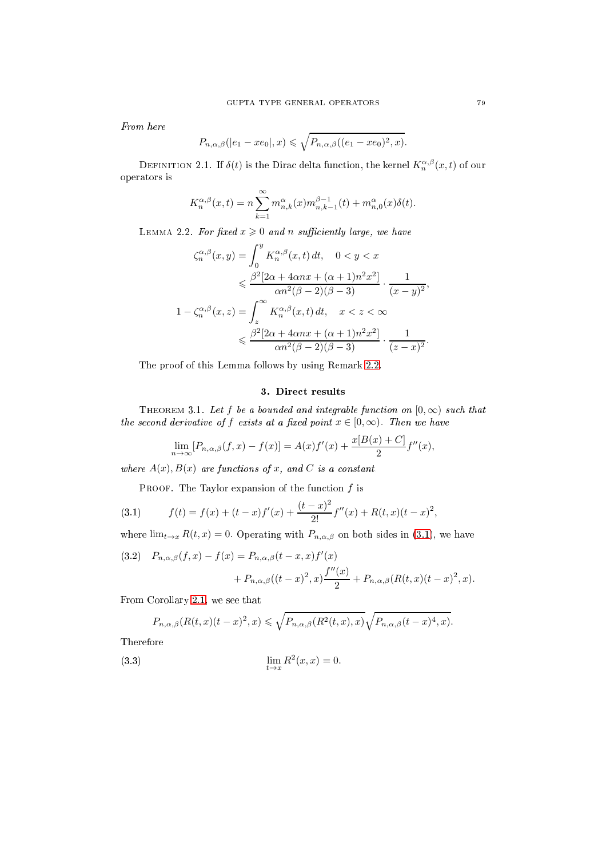From here

$$
P_{n,\alpha,\beta}(|e_1 - xe_0|,x) \leq \sqrt{P_{n,\alpha,\beta}((e_1 - xe_0)^2, x)}.
$$

<span id="page-2-4"></span>DEFINITION 2.1. If  $\delta(t)$  is the Dirac delta function, the kernel  $K^{\alpha,\beta}_{n}(x,t)$  of our operators is

$$
K_n^{\alpha,\beta}(x,t) = n \sum_{k=1}^{\infty} m_{n,k}^{\alpha}(x) m_{n,k-1}^{\beta-1}(t) + m_{n,0}^{\alpha}(x) \delta(t).
$$

<span id="page-2-5"></span>LEMMA 2.2. For fixed  $x \geqslant 0$  and n sufficiently large, we have

$$
\zeta_n^{\alpha,\beta}(x,y) = \int_0^y K_n^{\alpha,\beta}(x,t) dt, \quad 0 < y < x
$$

$$
\leq \frac{\beta^2 [2\alpha + 4\alpha nx + (\alpha + 1)n^2 x^2]}{\alpha n^2 (\beta - 2)(\beta - 3)} \cdot \frac{1}{(x - y)^2},
$$

$$
1 - \zeta_n^{\alpha,\beta}(x,z) = \int_z^\infty K_n^{\alpha,\beta}(x,t) dt, \quad x < z < \infty
$$

$$
\leq \frac{\beta^2 [2\alpha + 4\alpha nx + (\alpha + 1)n^2 x^2]}{\alpha n^2 (\beta - 2)(\beta - 3)} \cdot \frac{1}{(z - x)^2}.
$$

The proof of this Lemma follows by using Remark [2.2.](#page-1-0)

## 3. Dire
t results

<span id="page-2-3"></span>THEOREM 3.1. Let f be a bounded and integrable function on  $[0, \infty)$  such that the second derivative of f exists at a fixed point  $x \in [0, \infty)$ . Then we have

$$
\lim_{n \to \infty} [P_{n,\alpha,\beta}(f,x) - f(x)] = A(x)f'(x) + \frac{x[B(x) + C]}{2}f''(x),
$$

where  $A(x)$ ,  $B(x)$  are functions of x, and C is a constant.

<span id="page-2-0"></span>PROOF. The Taylor expansion of the function  $f$  is

(3.1) 
$$
f(t) = f(x) + (t - x)f'(x) + \frac{(t - x)^2}{2!}f''(x) + R(t, x)(t - x)^2,
$$

where  $\lim_{t\to x} R(t,x) = 0$ . Operating with  $P_{n,\alpha,\beta}$  on both sides in [\(3.1\)](#page-2-0), we have

<span id="page-2-2"></span>(3.2) 
$$
P_{n,\alpha,\beta}(f,x) - f(x) = P_{n,\alpha,\beta}(t-x,x)f'(x) + P_{n,\alpha,\beta}((t-x)^2, x)\frac{f''(x)}{2} + P_{n,\alpha,\beta}(R(t,x)(t-x)^2, x).
$$

From Corollary [2.1,](#page-1-1) we see that

<span id="page-2-1"></span>
$$
P_{n,\alpha,\beta}(R(t,x)(t-x)^2,x) \leq \sqrt{P_{n,\alpha,\beta}(R^2(t,x),x)}\sqrt{P_{n,\alpha,\beta}(t-x)^4,x}.
$$

Therefore

(3.3) 
$$
\lim_{t \to x} R^2(x, x) = 0.
$$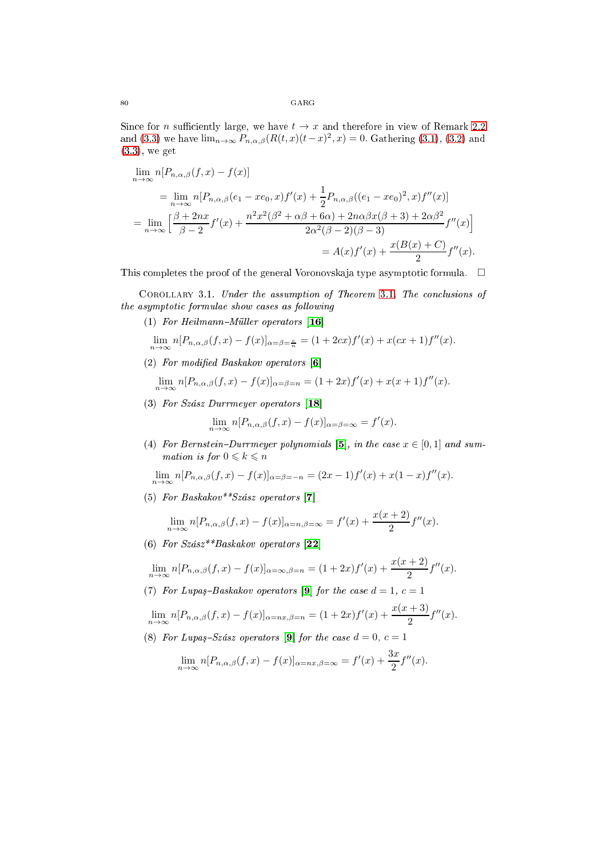Since for *n* sufficiently large, we have  $t \to x$  and therefore in view of Remark [2.2](#page-1-0) and [\(3.3\)](#page-2-1) we have  $\lim_{n\to\infty} P_{n,\alpha,\beta}(R(t,x)(t-x)^2, x) = 0$ . Gathering [\(3.1\)](#page-2-0), [\(3.2\)](#page-2-2) and [\(3.3\)](#page-2-1), we get

$$
\lim_{n \to \infty} n[P_{n,\alpha,\beta}(f,x) - f(x)]
$$
\n
$$
= \lim_{n \to \infty} n[P_{n,\alpha,\beta}(e_1 - xe_0, x) f'(x) + \frac{1}{2} P_{n,\alpha,\beta}((e_1 - xe_0)^2, x) f''(x)]
$$
\n
$$
= \lim_{n \to \infty} \left[ \frac{\beta + 2nx}{\beta - 2} f'(x) + \frac{n^2 x^2 (\beta^2 + \alpha \beta + 6\alpha) + 2n \alpha \beta x (\beta + 3) + 2\alpha \beta^2}{2\alpha^2 (\beta - 2)(\beta - 3)} f''(x) \right]
$$
\n
$$
= A(x) f'(x) + \frac{x(B(x) + C)}{2} f''(x).
$$

This completes the proof of the general Voronovskaja type asymptotic formula.  $\Box$ 

COROLLARY 3.1. Under the assumption of Theorem [3.1,](#page-2-3) The conclusions of the asymptotic formulae show cases as following

(1) For Heilmann-Müller operators  $[16]$ 

$$
\lim_{n \to \infty} n[P_{n,\alpha,\beta}(f,x) - f(x)]_{\alpha = \beta = \frac{c}{n}} = (1 + 2cx)f'(x) + x(cx + 1)f''(x).
$$

(2) For modified Baskakov operators  $[6]$ 

$$
\lim_{n \to \infty} n[P_{n,\alpha,\beta}(f,x) - f(x)]_{\alpha = \beta = n} = (1 + 2x)f'(x) + x(x+1)f''(x).
$$

(3) For Szász Durrmeyer operators  $[18]$ 

$$
\lim_{n \to \infty} n[P_{n,\alpha,\beta}(f,x) - f(x)]_{\alpha = \beta = \infty} = f'(x).
$$

(4) For Bernstein-Durrmeyer polynomials [5], in the case  $x \in [0,1]$  and summation is for  $0 \leq k \leq n$ 

$$
\lim_{n \to \infty} n[P_{n,\alpha,\beta}(f,x) - f(x)]_{\alpha = \beta = -n} = (2x - 1)f'(x) + x(1 - x)f''(x).
$$

(5) For Baskakov\*\*Szász operators [7]

$$
\lim_{n\to\infty} n[P_{n,\alpha,\beta}(f,x)-f(x)]_{\alpha=n,\beta=\infty}=f'(x)+\frac{x(x+2)}{2}f''(x).
$$

(6) For  $Szász**Baskakov$  operators [22]

$$
\lim_{n \to \infty} n[P_{n,\alpha,\beta}(f,x) - f(x)]_{\alpha = \infty, \beta = n} = (1+2x)f'(x) + \frac{x(x+2)}{2}f''(x).
$$

(7) For Lupaş-Baskakov operators [9] for the case  $d = 1, c = 1$ 

$$
\lim_{n \to \infty} n[P_{n,\alpha,\beta}(f,x) - f(x)]_{\alpha = nx, \beta = n} = (1 + 2x)f'(x) + \frac{x(x+3)}{2}f''(x).
$$

(8) For Lupas-Szász operators [9] for the case  $d = 0, c = 1$ 

$$
\lim_{n \to \infty} n[P_{n,\alpha,\beta}(f,x) - f(x)]_{\alpha = nx, \beta = \infty} = f'(x) + \frac{3x}{2}f''(x).
$$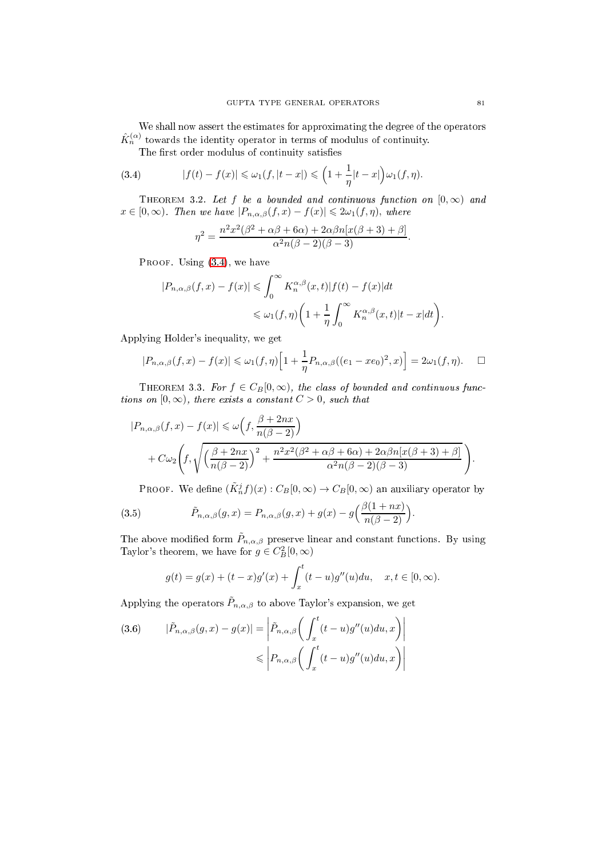We shall now assert the estimates for approximating the degree of the operators  $\hat{K}^{(\alpha)}_n$  towards the identity operator in terms of modulus of continuity.

<span id="page-4-0"></span>The rst order modulus of ontinuity satises

(3.4) 
$$
|f(t)-f(x)| \leq \omega_1(f, |t-x|) \leq (1+\frac{1}{\eta}|t-x|)\omega_1(f, \eta).
$$

THEOREM 3.2. Let f be a bounded and continuous function on  $[0,\infty)$  and  $x \in [0, \infty)$ . Then we have  $|P_{n,\alpha,\beta}(f,x) - f(x)| \leq 2\omega_1(f,\eta)$ , where

$$
\eta^2 = \frac{n^2x^2(\beta^2 + \alpha\beta + 6\alpha) + 2\alpha\beta n[x(\beta + 3) + \beta]}{\alpha^2n(\beta - 2)(\beta - 3)}.
$$

PROOF. Using  $(3.4)$ , we have

$$
|P_{n,\alpha,\beta}(f,x) - f(x)| \leq \int_0^\infty K_n^{\alpha,\beta}(x,t) |f(t) - f(x)| dt
$$
  

$$
\leq \omega_1(f,\eta) \left(1 + \frac{1}{\eta} \int_0^\infty K_n^{\alpha,\beta}(x,t) |t - x| dt\right)
$$

Applying Holder's inequality, we get

$$
|P_{n,\alpha,\beta}(f,x)-f(x)| \leq \omega_1(f,\eta)\Big[1+\frac{1}{\eta}P_{n,\alpha,\beta}((e_1-xe_0)^2,x)\Big] = 2\omega_1(f,\eta). \quad \Box
$$

THEOREM 3.3. For  $f \in C_B[0,\infty)$ , the class of bounded and continuous functions on  $[0, \infty)$ , there exists a constant  $C > 0$ , such that

$$
|P_{n,\alpha,\beta}(f,x) - f(x)| \le \omega \left(f, \frac{\beta + 2nx}{n(\beta - 2)}\right)
$$
  
+  $C\omega_2 \left(f, \sqrt{\left(\frac{\beta + 2nx}{n(\beta - 2)}\right)^2 + \frac{n^2x^2(\beta^2 + \alpha\beta + 6\alpha) + 2\alpha\beta n[x(\beta + 3) + \beta]}{\alpha^2 n(\beta - 2)(\beta - 3)}}\right).$ 

<span id="page-4-2"></span>PROOF. We define  $(\tilde{K}_n^j f)(x) : C_B[0,\infty) \to C_B[0,\infty)$  an auxiliary operator by

(3.5) 
$$
\tilde{P}_{n,\alpha,\beta}(g,x) = P_{n,\alpha,\beta}(g,x) + g(x) - g\left(\frac{\beta(1+nx)}{n(\beta-2)}\right).
$$

The above modified form  $\tilde{P}_{n,\alpha,\beta}$  preserve linear and constant functions. By using Taylor's theorem, we have for  $g \in C_B^2[0, \infty)$ 

$$
g(t) = g(x) + (t - x)g'(x) + \int_x^t (t - u)g''(u)du, \quad x, t \in [0, \infty).
$$

Applying the operators  $\tilde{P}_{n,\alpha,\beta}$  to above Taylor's expansion, we get

<span id="page-4-1"></span>(3.6) 
$$
|\tilde{P}_{n,\alpha,\beta}(g,x)-g(x)| = \left|\tilde{P}_{n,\alpha,\beta}\left(\int_x^t (t-u)g''(u)du, x\right)\right|
$$

$$
\leqslant \left|P_{n,\alpha,\beta}\left(\int_x^t (t-u)g''(u)du, x\right)\right|
$$

.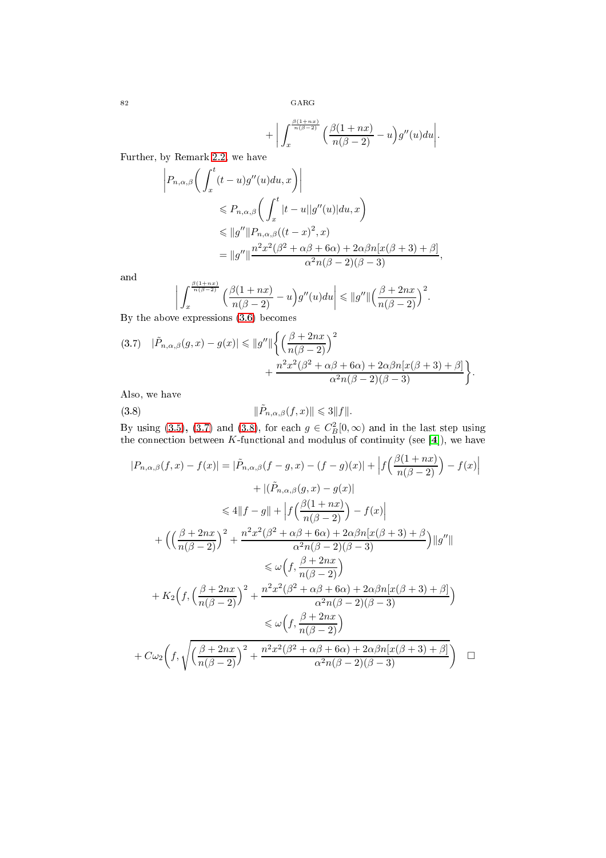82 GARG

$$
+ \bigg|\int_x^{\frac{\beta(1+n x)}{n(\beta-2)}} \Big(\frac{\beta(1+n x)}{n(\beta-2)} - u\Big)g''(u) du\bigg|.
$$

Further, by Remark [2.2,](#page-1-0) we have

$$
\left| P_{n,\alpha,\beta} \left( \int_x^t (t-u)g''(u)du, x \right) \right|
$$
  
\n
$$
\leq P_{n,\alpha,\beta} \left( \int_x^t |t-u||g''(u)|du, x \right)
$$
  
\n
$$
\leq \|g''\| P_{n,\alpha,\beta}((t-x)^2, x)
$$
  
\n
$$
= \|g''\| \frac{n^2x^2(\beta^2 + \alpha\beta + 6\alpha) + 2\alpha\beta n[x(\beta+3) + \beta]}{\alpha^2 n(\beta - 2)(\beta - 3)},
$$

and

and  
\n
$$
\left| \int_x^{\frac{\beta(1+nx)}{n(\beta-2)}} \left( \frac{\beta(1+nx)}{n(\beta-2)} - u \right) g''(u) du \right| \leq \|g''\| \left( \frac{\beta+2nx}{n(\beta-2)} \right)^2.
$$
\nBy the above expressions (3.6) becomes

<span id="page-5-0"></span>
$$
(3.7) \quad |\tilde{P}_{n,\alpha,\beta}(g,x) - g(x)| \le ||g''|| \left\{ \left( \frac{\beta + 2nx}{n(\beta - 2)} \right)^2 + \frac{n^2 x^2 (\beta^2 + \alpha \beta + 6\alpha) + 2\alpha \beta n [x(\beta + 3) + \beta]}{\alpha^2 n(\beta - 2)(\beta - 3)} \right\}.
$$

Also, we have

<span id="page-5-1"></span>(3.8) 
$$
\|\tilde{P}_{n,\alpha,\beta}(f,x)\| \leq 3\|f\|.
$$

By using [\(3.5\)](#page-4-2), [\(3.7\)](#page-5-0) and [\(3.8\)](#page-5-1), for each  $g \in C_B^2[0,\infty)$  and in the last step using the connection between K-functional and modulus of continuity (see [4]), we have

$$
|P_{n,\alpha,\beta}(f,x) - f(x)| = |\tilde{P}_{n,\alpha,\beta}(f-g,x) - (f-g)(x)| + |f\left(\frac{\beta(1+nx)}{n(\beta-2)}\right) - f(x)|
$$
  
+ 
$$
|(\tilde{P}_{n,\alpha,\beta}(g,x) - g(x)|
$$
  

$$
\leq 4||f-g|| + |f\left(\frac{\beta(1+nx)}{n(\beta-2)}\right) - f(x)|
$$
  
+ 
$$
\left(\left(\frac{\beta+2nx}{n(\beta-2)}\right)^2 + \frac{n^2x^2(\beta^2+\alpha\beta+6\alpha)+2\alpha\beta n[x(\beta+3)+\beta]}{\alpha^2n(\beta-2)(\beta-3)}\right)||g''||
$$
  

$$
\leq \omega\left(f, \frac{\beta+2nx}{n(\beta-2)}\right)
$$
  
+ 
$$
K_2\left(f, \left(\frac{\beta+2nx}{n(\beta-2)}\right)^2 + \frac{n^2x^2(\beta^2+\alpha\beta+6\alpha)+2\alpha\beta n[x(\beta+3)+\beta]}{\alpha^2n(\beta-2)(\beta-3)}\right)
$$
  

$$
\leq \omega\left(f, \frac{\beta+2nx}{n(\beta-2)}\right)
$$
  
+ 
$$
C\omega_2\left(f, \sqrt{\left(\frac{\beta+2nx}{n(\beta-2)}\right)^2 + \frac{n^2x^2(\beta^2+\alpha\beta+6\alpha)+2\alpha\beta n[x(\beta+3)+\beta]}{\alpha^2n(\beta-2)(\beta-3)}}\right) \square
$$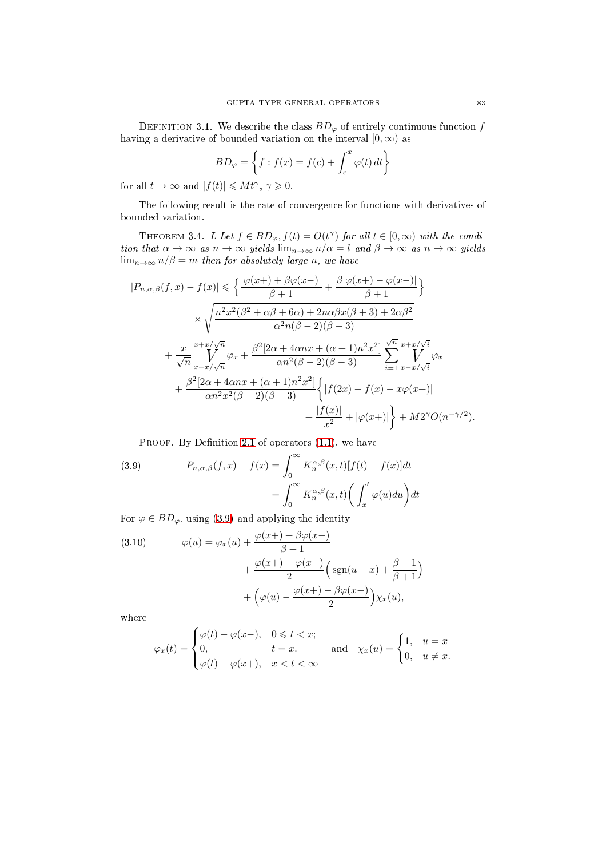DEFINITION 3.1. We describe the class  $BD_{\varphi}$  of entirely continuous function f having a derivative of bounded variation on the interval  $[0, \infty)$  as

$$
BD_{\varphi} = \left\{ f : f(x) = f(c) + \int_{c}^{x} \varphi(t) dt \right\}
$$

for all  $t \to \infty$  and  $|f(t)| \leq M t^{\gamma}, \gamma \geq 0$ .

The following result is the rate of convergence for functions with derivatives of bounded variation.

THEOREM 3.4. L Let  $f \in BD_{\varphi}, f(t) = O(t^{\gamma})$  for all  $t \in [0, \infty)$  with the condition that  $\alpha \to \infty$  as  $n \to \infty$  yields  $\lim_{n \to \infty} n/\alpha = l$  and  $\beta \to \infty$  as  $n \to \infty$  yields  $\lim_{n\to\infty} n/\beta = m$  then for absolutely large n, we have

$$
|P_{n,\alpha,\beta}(f,x) - f(x)| \leq \left\{ \frac{|\varphi(x+) + \beta\varphi(x-)|}{\beta+1} + \frac{\beta|\varphi(x+) - \varphi(x-)|}{\beta+1} \right\}
$$
  

$$
\times \sqrt{\frac{n^2 x^2 (\beta^2 + \alpha\beta + 6\alpha) + 2n\alpha\beta x (\beta+3) + 2\alpha\beta^2}{\alpha^2 n(\beta-2)(\beta-3)}}
$$
  

$$
+ \frac{x}{\sqrt{n}} \sum_{x=x/\sqrt{n}}^{x+x/\sqrt{n}} \varphi_x + \frac{\beta^2 [2\alpha + 4\alpha nx + (\alpha+1)n^2 x^2]}{\alpha n^2 (\beta-2)(\beta-3)} \sum_{i=1}^{\sqrt{n}} \sum_{x=x/\sqrt{i}}^{x+x/\sqrt{i}} \varphi_x
$$
  

$$
+ \frac{\beta^2 [2\alpha + 4\alpha nx + (\alpha+1)n^2 x^2]}{\alpha n^2 x^2 (\beta-2)(\beta-3)} \left\{ |f(2x) - f(x) - x\varphi(x+)| + \frac{|f(x)|}{x^2} + |\varphi(x+)| \right\} + M2^{\gamma}O(n^{-\gamma/2}).
$$

PROOF. By Definition [2.1](#page-2-4) of operators  $(1.1)$ , we have

<span id="page-6-0"></span>(3.9) 
$$
P_{n,\alpha,\beta}(f,x) - f(x) = \int_0^\infty K_n^{\alpha,\beta}(x,t)[f(t) - f(x)]dt
$$

$$
= \int_0^\infty K_n^{\alpha,\beta}(x,t) \left(\int_x^t \varphi(u)du\right)dt
$$

For  $\varphi \in BD_{\varphi}$ , using [\(3.9\)](#page-6-0) and applying the identity

<span id="page-6-1"></span>(3.10) 
$$
\varphi(u) = \varphi_x(u) + \frac{\varphi(x+) + \beta \varphi(x-)}{\beta + 1} + \frac{\varphi(x+) - \varphi(x-)}{2} \left( \operatorname{sgn}(u-x) + \frac{\beta - 1}{\beta + 1} \right) + \left( \varphi(u) - \frac{\varphi(x+) - \beta \varphi(x-)}{2} \right) \chi_x(u),
$$

where

$$
\varphi_x(t) = \begin{cases} \varphi(t) - \varphi(x-), & 0 \leq t < x; \\ 0, & t = x. \\ \varphi(t) - \varphi(x+), & x < t < \infty \end{cases} \quad \text{and} \quad \chi_x(u) = \begin{cases} 1, & u = x \\ 0, & u \neq x. \end{cases}
$$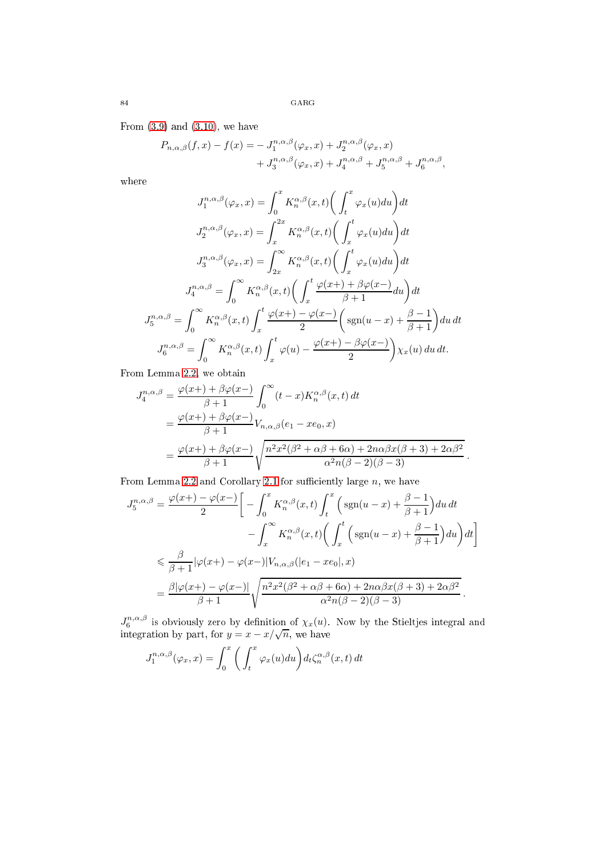From  $(3.9)$  and  $(3.10)$ , we have

$$
P_{n,\alpha,\beta}(f,x) - f(x) = -J_1^{n,\alpha,\beta}(\varphi_x, x) + J_2^{n,\alpha,\beta}(\varphi_x, x) + J_3^{n,\alpha,\beta}(\varphi_x, x) + J_4^{n,\alpha,\beta} + J_5^{n,\alpha,\beta} + J_6^{n,\alpha,\beta},
$$

where

$$
J_1^{n,\alpha,\beta}(\varphi_x, x) = \int_0^x K_n^{\alpha,\beta}(x, t) \left( \int_t^x \varphi_x(u) du \right) dt
$$
  

$$
J_2^{n,\alpha,\beta}(\varphi_x, x) = \int_x^{2x} K_n^{\alpha,\beta}(x, t) \left( \int_x^t \varphi_x(u) du \right) dt
$$
  

$$
J_3^{n,\alpha,\beta}(\varphi_x, x) = \int_{2x}^\infty K_n^{\alpha,\beta}(x, t) \left( \int_x^t \varphi_x(u) du \right) dt
$$
  

$$
J_4^{n,\alpha,\beta} = \int_0^\infty K_n^{\alpha,\beta}(x, t) \left( \int_x^t \frac{\varphi(x+) + \beta \varphi(x-)}{\beta + 1} du \right) dt
$$
  

$$
J_5^{n,\alpha,\beta} = \int_0^\infty K_n^{\alpha,\beta}(x, t) \int_x^t \frac{\varphi(x+) - \varphi(x-)}{2} \left( \operatorname{sgn}(u - x) + \frac{\beta - 1}{\beta + 1} \right) du dt
$$
  

$$
J_6^{n,\alpha,\beta} = \int_0^\infty K_n^{\alpha,\beta}(x, t) \int_x^t \varphi(u) - \frac{\varphi(x+) - \beta \varphi(x-)}{2} \right) \chi_x(u) du dt.
$$

From Lemma [2.2,](#page-2-5) we obtain

$$
J_4^{n,\alpha,\beta} = \frac{\varphi(x+) + \beta \varphi(x-)}{\beta+1} \int_0^\infty (t-x) K_n^{\alpha,\beta}(x,t) dt
$$
  
= 
$$
\frac{\varphi(x+) + \beta \varphi(x-)}{\beta+1} V_{n,\alpha,\beta}(e_1 - xe_0, x)
$$
  
= 
$$
\frac{\varphi(x+) + \beta \varphi(x-)}{\beta+1} \sqrt{\frac{n^2 x^2 (\beta^2 + \alpha \beta + 6\alpha) + 2n\alpha \beta x (\beta+3) + 2\alpha \beta^2}{\alpha^2 n (\beta-2)(\beta-3)}}.
$$

From Lemma [2.2](#page-2-5) and Corollary [2.1](#page-1-1) for sufficiently large  $n$ , we have

$$
J_5^{n,\alpha,\beta} = \frac{\varphi(x+) - \varphi(x-)}{2} \bigg[ -\int_0^x K_n^{\alpha,\beta}(x,t) \int_t^x \Big( \operatorname{sgn}(u-x) + \frac{\beta - 1}{\beta + 1} \Big) du \, dt
$$

$$
- \int_x^\infty K_n^{\alpha,\beta}(x,t) \bigg( \int_x^t \Big( \operatorname{sgn}(u-x) + \frac{\beta - 1}{\beta + 1} \Big) du \bigg) dt \bigg]
$$

$$
\leq \frac{\beta}{\beta + 1} |\varphi(x+) - \varphi(x-)| V_{n,\alpha,\beta}(|e_1 - xe_0|, x)
$$

$$
= \frac{\beta |\varphi(x+) - \varphi(x-)|}{\beta + 1} \sqrt{\frac{n^2 x^2 (\beta^2 + \alpha \beta + 6\alpha) + 2n \alpha \beta x (\beta + 3) + 2\alpha \beta^2}{\alpha^2 n (\beta - 2)(\beta - 3)}}.
$$

 $J_6^{n,\alpha,\beta}$  is obviously zero by definition of  $\chi_x(u)$ . Now by the Stieltjes integral and integration by part, for  $y = x - x/\sqrt{n}$ , we have

$$
J_1^{n,\alpha,\beta}(\varphi_x,x) = \int_0^x \bigg( \int_t^x \varphi_x(u) du \bigg) d_t \zeta_n^{\alpha,\beta}(x,t) dt
$$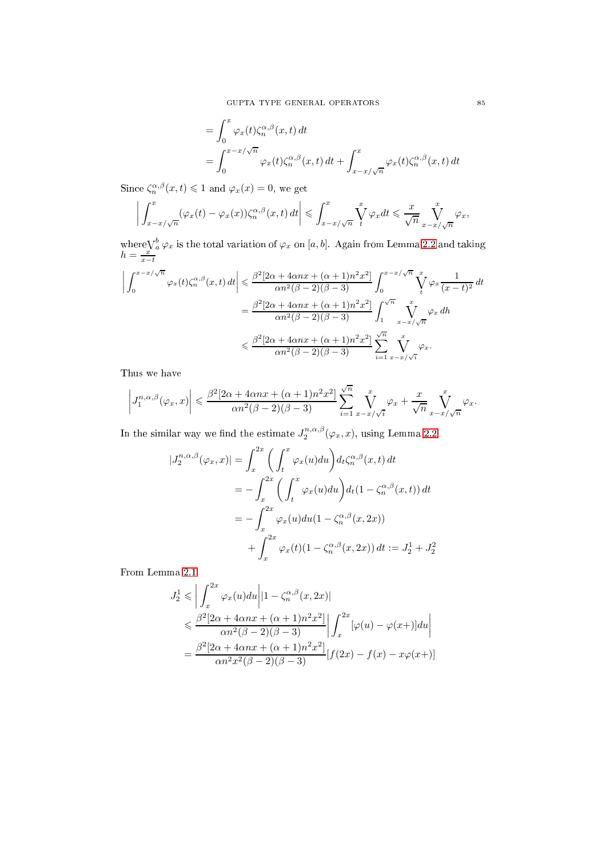$$
= \int_0^x \varphi_x(t) \zeta_n^{\alpha,\beta}(x,t) dt
$$
  
= 
$$
\int_0^{x-x/\sqrt{n}} \varphi_x(t) \zeta_n^{\alpha,\beta}(x,t) dt + \int_{x-x/\sqrt{n}}^x \varphi_x(t) \zeta_n^{\alpha,\beta}(x,t) dt
$$

Since  $\zeta_n^{\alpha,\beta}(x,t) \leq 1$  and  $\varphi_x(x) = 0$ , we get

$$
\left| \int_{x-x/\sqrt{n}}^{x} (\varphi_x(t) - \varphi_x(x)) \zeta_n^{\alpha,\beta}(x,t) dt \right| \leq \int_{x-x/\sqrt{n}}^{x} \int_{t}^{\infty} \varphi_x dt \leq \frac{x}{\sqrt{n}} \int_{x-x/\sqrt{n}}^{x} \varphi_x,
$$

where  $\bigvee_{a}^{b} \varphi_x$  is the total variation of  $\varphi_x$  on [a, b]. Again from Lemma [2.2](#page-2-5) and taking  $h = \frac{x}{x-t}$ 

$$
\left| \int_0^{x-x/\sqrt{n}} \varphi_x(t) \zeta_n^{\alpha,\beta}(x,t) dt \right| \leq \frac{\beta^2 [2\alpha + 4\alpha nx + (\alpha+1)n^2 x^2]}{\alpha n^2 (\beta - 2)(\beta - 3)} \int_0^{x-x/\sqrt{n}} \int_t^x \varphi_x \frac{1}{(x-t)^2} dt
$$
  

$$
= \frac{\beta^2 [2\alpha + 4\alpha nx + (\alpha+1)n^2 x^2]}{\alpha n^2 (\beta - 2)(\beta - 3)} \int_1^{\sqrt{n}} \int_{x-x/\sqrt{n}}^x \varphi_x \, dh
$$
  

$$
\leq \frac{\beta^2 [2\alpha + 4\alpha nx + (\alpha+1)n^2 x^2]}{\alpha n^2 (\beta - 2)(\beta - 3)} \sum_{i=1}^{\sqrt{n}} \int_{x-x/\sqrt{i}}^x \varphi_x.
$$

Thus we have

$$
\left|J_1^{n,\alpha,\beta}(\varphi_x,x)\right| \leq \frac{\beta^2[2\alpha+4\alpha nx+(\alpha+1)n^2x^2]}{\alpha n^2(\beta-2)(\beta-3)}\sum_{i=1}^{\sqrt{n}}\int_{x-x/\sqrt{i}}^x \varphi_x+\frac{x}{\sqrt{n}}\int_{x-x/\sqrt{n}}^x \varphi_x.
$$

In the similar way we find the estimate  $J_2^{n,\alpha,\beta}(\varphi_x, x)$ , using Lemma [2.2](#page-2-5)

$$
\begin{aligned}\n|J_2^{n,\alpha,\beta}(\varphi_x, x)| &= \int_x^{2x} \left( \int_t^x \varphi_x(u) du \right) d_t \zeta_n^{\alpha,\beta}(x, t) dt \\
&= -\int_x^{2x} \left( \int_t^x \varphi_x(u) du \right) d_t (1 - \zeta_n^{\alpha,\beta}(x, t)) dt \\
&= -\int_x^{2x} \varphi_x(u) du (1 - \zeta_n^{\alpha,\beta}(x, 2x)) \\
&+ \int_x^{2x} \varphi_x(t) (1 - \zeta_n^{\alpha,\beta}(x, 2x)) dt := J_2^1 + J_2^2\n\end{aligned}
$$

From Lemma [2.1](#page-1-2)

$$
J_2^1 \leq \left| \int_x^{2x} \varphi_x(u) du \right| |1 - \zeta_n^{\alpha,\beta}(x,2x)|
$$
  
\n
$$
\leq \frac{\beta^2 [2\alpha + 4\alpha nx + (\alpha + 1)n^2 x^2]}{\alpha n^2 (\beta - 2)(\beta - 3)} \left| \int_x^{2x} [\varphi(u) - \varphi(x)] du \right|
$$
  
\n
$$
= \frac{\beta^2 [2\alpha + 4\alpha nx + (\alpha + 1)n^2 x^2]}{\alpha n^2 x^2 (\beta - 2)(\beta - 3)} [f(2x) - f(x) - x\varphi(x+)]
$$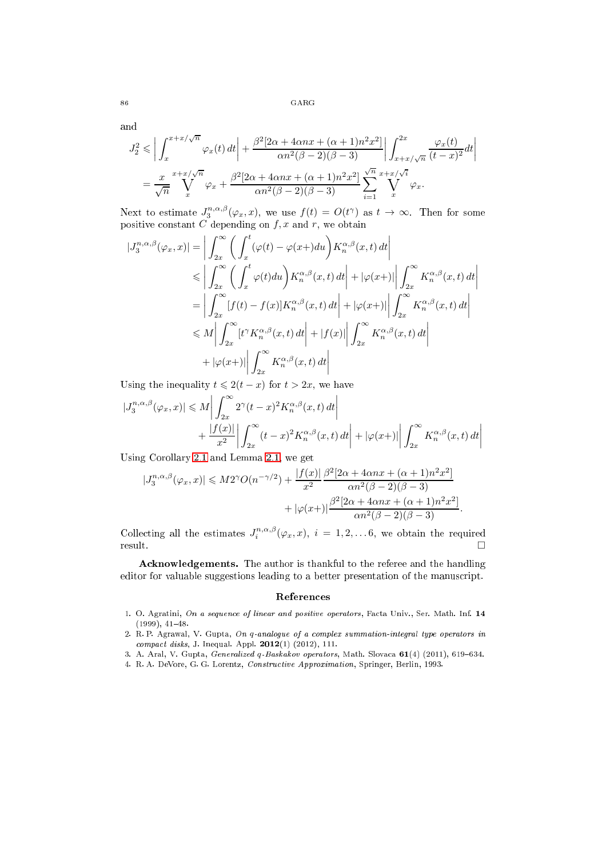86 GARG

and

$$
J_2^2 \leqslant \left| \int_x^{x+x/\sqrt{n}} \varphi_x(t) dt \right| + \frac{\beta^2 [2\alpha + 4\alpha nx + (\alpha+1)n^2 x^2]}{\alpha n^2 (\beta-2)(\beta-3)} \left| \int_{x+x/\sqrt{n}}^{2x} \frac{\varphi_x(t)}{(t-x)^2} dt \right|
$$
  
= 
$$
\frac{x}{\sqrt{n}} \sum_{x}^{x+x/\sqrt{n}} \varphi_x + \frac{\beta^2 [2\alpha + 4\alpha nx + (\alpha+1)n^2 x^2]}{\alpha n^2 (\beta-2)(\beta-3)} \sum_{i=1}^{\sqrt{n}} \sum_{x}^{x+x/\sqrt{i}} \varphi_x.
$$

Next to estimate  $J_3^{n,\alpha,\beta}(\varphi_x,x)$ , we use  $f(t) = O(t^{\gamma})$  as  $t \to \infty$ . Then for some positive constant C depending on  $f, x$  and  $r$ , we obtain

$$
|J_3^{n,\alpha,\beta}(\varphi_x, x)| = \left| \int_{2x}^{\infty} \left( \int_x^t (\varphi(t) - \varphi(x+)du) K_n^{\alpha,\beta}(x, t) dt \right| \right|
$$
  
\n
$$
\leq \left| \int_{2x}^{\infty} \left( \int_x^t \varphi(t)du \right) K_n^{\alpha,\beta}(x, t) dt \right| + |\varphi(x+)| \left| \int_{2x}^{\infty} K_n^{\alpha,\beta}(x, t) dt \right|
$$
  
\n
$$
= \left| \int_{2x}^{\infty} [f(t) - f(x)] K_n^{\alpha,\beta}(x, t) dt \right| + |\varphi(x+)| \left| \int_{2x}^{\infty} K_n^{\alpha,\beta}(x, t) dt \right|
$$
  
\n
$$
\leq M \left| \int_{2x}^{\infty} [t^{\gamma} K_n^{\alpha,\beta}(x, t) dt \right| + |f(x)| \left| \int_{2x}^{\infty} K_n^{\alpha,\beta}(x, t) dt \right|
$$
  
\n
$$
+ |\varphi(x+)| \left| \int_{2x}^{\infty} K_n^{\alpha,\beta}(x, t) dt \right|
$$

Using the inequality  $t \leq 2(t - x)$  for  $t > 2x$ , we have

$$
\begin{aligned} |J_3^{n,\alpha,\beta}(\varphi_x,x)| &\leq M \left| \int_{2x}^\infty 2^\gamma (t-x)^2 K_n^{\alpha,\beta}(x,t) \, dt \right| \\ &+ \frac{|f(x)|}{x^2} \left| \int_{2x}^\infty (t-x)^2 K_n^{\alpha,\beta}(x,t) \, dt \right| + |\varphi(x+)| \left| \int_{2x}^\infty K_n^{\alpha,\beta}(x,t) \, dt \right| \end{aligned}
$$

Using Corollary [2.1](#page-1-1) and Lemma [2.1,](#page-1-2) we get

$$
|J_3^{n,\alpha,\beta}(\varphi_x, x)| \le M2^{\gamma}O(n^{-\gamma/2}) + \frac{|f(x)|}{x^2} \frac{\beta^2 [2\alpha + 4\alpha nx + (\alpha + 1)n^2 x^2]}{\alpha n^2 (\beta - 2)(\beta - 3)} + |\varphi(x+)| \frac{\beta^2 [2\alpha + 4\alpha nx + (\alpha + 1)n^2 x^2]}{\alpha n^2 (\beta - 2)(\beta - 3)}.
$$

Collecting all the estimates  $J_i^{n,\alpha,\beta}(\varphi_x, x)$ ,  $i = 1, 2, \ldots, 6$ , we obtain the required  $r$ esult.  $\Box$ 

A
knowledgements. The author is thankful to the referee and the handling editor for valuable suggestions leading to a better presentation of the manuscript.

#### Referen
es

- <span id="page-9-2"></span>1. O. Agratini, On a sequence of linear and positive operators, Facta Univ., Ser. Math. Inf. 14  $(1999), 41-48.$
- <span id="page-9-0"></span>2. R.P. Agrawal, V. Gupta, On q-analogue of a complex summation-integral type operators in  $compact$  disks, J. Inequal. Appl. 2012(1) (2012), 111.
- <span id="page-9-3"></span><span id="page-9-1"></span>3. A. Aral, V. Gupta, Generalized q-Baskakov operators, Math. Slovaca 61(4) (2011), 619-634.
- 4. R. A. DeVore, G. G. Lorentz, Constru
tive Approximation, Springer, Berlin, 1993.